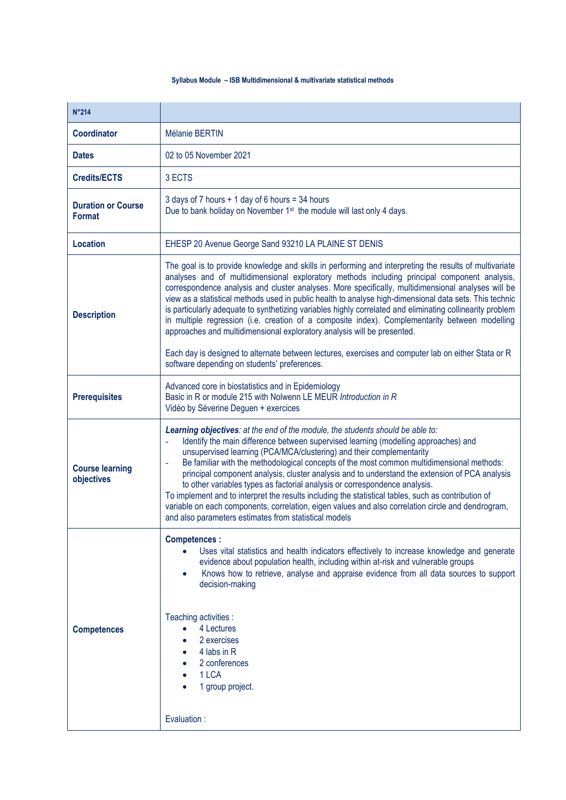## **Syllabus Module – ISB Multidimensional & multivariate statistical methods**

| <b>N°214</b>                         |                                                                                                                                                                                                                                                                                                                                                                                                                                                                                                                                                                                                                                                                                                                                                                                                                                                                          |  |  |
|--------------------------------------|--------------------------------------------------------------------------------------------------------------------------------------------------------------------------------------------------------------------------------------------------------------------------------------------------------------------------------------------------------------------------------------------------------------------------------------------------------------------------------------------------------------------------------------------------------------------------------------------------------------------------------------------------------------------------------------------------------------------------------------------------------------------------------------------------------------------------------------------------------------------------|--|--|
| <b>Coordinator</b>                   | Mélanie BERTIN                                                                                                                                                                                                                                                                                                                                                                                                                                                                                                                                                                                                                                                                                                                                                                                                                                                           |  |  |
| <b>Dates</b>                         | 02 to 05 November 2021                                                                                                                                                                                                                                                                                                                                                                                                                                                                                                                                                                                                                                                                                                                                                                                                                                                   |  |  |
| <b>Credits/ECTS</b>                  | 3 ECTS                                                                                                                                                                                                                                                                                                                                                                                                                                                                                                                                                                                                                                                                                                                                                                                                                                                                   |  |  |
| <b>Duration or Course</b><br>Format  | 3 days of 7 hours + 1 day of 6 hours = 34 hours<br>Due to bank holiday on November 1 <sup>st</sup> the module will last only 4 days.                                                                                                                                                                                                                                                                                                                                                                                                                                                                                                                                                                                                                                                                                                                                     |  |  |
| <b>Location</b>                      | EHESP 20 Avenue George Sand 93210 LA PLAINE ST DENIS                                                                                                                                                                                                                                                                                                                                                                                                                                                                                                                                                                                                                                                                                                                                                                                                                     |  |  |
| <b>Description</b>                   | The goal is to provide knowledge and skills in performing and interpreting the results of multivariate<br>analyses and of multidimensional exploratory methods including principal component analysis,<br>correspondence analysis and cluster analyses. More specifically, multidimensional analyses will be<br>view as a statistical methods used in public health to analyse high-dimensional data sets. This technic<br>is particularly adequate to synthetizing variables highly correlated and eliminating collinearity problem<br>in multiple regression (i.e. creation of a composite index). Complementarity between modelling<br>approaches and multidimensional exploratory analysis will be presented.<br>Each day is designed to alternate between lectures, exercises and computer lab on either Stata or R<br>software depending on students' preferences. |  |  |
| <b>Prerequisites</b>                 | Advanced core in biostatistics and in Epidemiology<br>Basic in R or module 215 with Nolwenn LE MEUR Introduction in R<br>Vidéo by Séverine Deguen + exercices                                                                                                                                                                                                                                                                                                                                                                                                                                                                                                                                                                                                                                                                                                            |  |  |
| <b>Course learning</b><br>objectives | Learning objectives: at the end of the module, the students should be able to:<br>Identify the main difference between supervised learning (modelling approaches) and<br>unsupervised learning (PCA/MCA/clustering) and their complementarity<br>Be familiar with the methodological concepts of the most common multidimensional methods:<br>÷<br>principal component analysis, cluster analysis and to understand the extension of PCA analysis<br>to other variables types as factorial analysis or correspondence analysis.<br>To implement and to interpret the results including the statistical tables, such as contribution of<br>variable on each components, correlation, eigen values and also correlation circle and dendrogram,<br>and also parameters estimates from statistical models                                                                    |  |  |
| <b>Competences</b>                   | <b>Competences:</b><br>Uses vital statistics and health indicators effectively to increase knowledge and generate<br>evidence about population health, including within at-risk and vulnerable groups<br>Knows how to retrieve, analyse and appraise evidence from all data sources to support<br>$\bullet$<br>decision-making<br>Teaching activities :<br>4 Lectures<br>2 exercises<br>4 labs in R<br>2 conferences<br>1 LCA<br>1 group project.<br>Evaluation :                                                                                                                                                                                                                                                                                                                                                                                                        |  |  |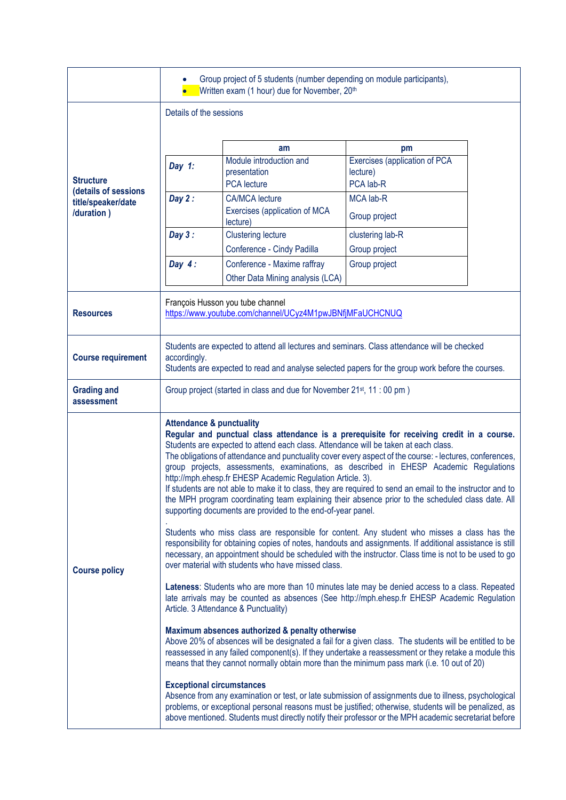|                                                                              |                                                                                                                                                                                                                                                                                                                                                                                                                                                                                                                                                                                                                                                                                                                                                                                                                                                                                                                                                                                                                                                                                                                                                                                                                                                                                                                                                                                                                                                                                                                                                                                                                                                                                                                                                                                                                                                                                                                                                                                                                                                                                                                                    | Group project of 5 students (number depending on module participants),<br>Written exam (1 hour) due for November, 20 <sup>th</sup> |                                           |  |
|------------------------------------------------------------------------------|------------------------------------------------------------------------------------------------------------------------------------------------------------------------------------------------------------------------------------------------------------------------------------------------------------------------------------------------------------------------------------------------------------------------------------------------------------------------------------------------------------------------------------------------------------------------------------------------------------------------------------------------------------------------------------------------------------------------------------------------------------------------------------------------------------------------------------------------------------------------------------------------------------------------------------------------------------------------------------------------------------------------------------------------------------------------------------------------------------------------------------------------------------------------------------------------------------------------------------------------------------------------------------------------------------------------------------------------------------------------------------------------------------------------------------------------------------------------------------------------------------------------------------------------------------------------------------------------------------------------------------------------------------------------------------------------------------------------------------------------------------------------------------------------------------------------------------------------------------------------------------------------------------------------------------------------------------------------------------------------------------------------------------------------------------------------------------------------------------------------------------|------------------------------------------------------------------------------------------------------------------------------------|-------------------------------------------|--|
|                                                                              | Details of the sessions                                                                                                                                                                                                                                                                                                                                                                                                                                                                                                                                                                                                                                                                                                                                                                                                                                                                                                                                                                                                                                                                                                                                                                                                                                                                                                                                                                                                                                                                                                                                                                                                                                                                                                                                                                                                                                                                                                                                                                                                                                                                                                            |                                                                                                                                    |                                           |  |
|                                                                              |                                                                                                                                                                                                                                                                                                                                                                                                                                                                                                                                                                                                                                                                                                                                                                                                                                                                                                                                                                                                                                                                                                                                                                                                                                                                                                                                                                                                                                                                                                                                                                                                                                                                                                                                                                                                                                                                                                                                                                                                                                                                                                                                    |                                                                                                                                    |                                           |  |
|                                                                              |                                                                                                                                                                                                                                                                                                                                                                                                                                                                                                                                                                                                                                                                                                                                                                                                                                                                                                                                                                                                                                                                                                                                                                                                                                                                                                                                                                                                                                                                                                                                                                                                                                                                                                                                                                                                                                                                                                                                                                                                                                                                                                                                    | am                                                                                                                                 | pm                                        |  |
| <b>Structure</b><br>(details of sessions<br>title/speaker/date<br>/duration) | Day $1$ :                                                                                                                                                                                                                                                                                                                                                                                                                                                                                                                                                                                                                                                                                                                                                                                                                                                                                                                                                                                                                                                                                                                                                                                                                                                                                                                                                                                                                                                                                                                                                                                                                                                                                                                                                                                                                                                                                                                                                                                                                                                                                                                          | Module introduction and<br>presentation                                                                                            | Exercises (application of PCA<br>lecture) |  |
|                                                                              |                                                                                                                                                                                                                                                                                                                                                                                                                                                                                                                                                                                                                                                                                                                                                                                                                                                                                                                                                                                                                                                                                                                                                                                                                                                                                                                                                                                                                                                                                                                                                                                                                                                                                                                                                                                                                                                                                                                                                                                                                                                                                                                                    | <b>PCA</b> lecture                                                                                                                 | PCA lab-R                                 |  |
|                                                                              | Day $2:$                                                                                                                                                                                                                                                                                                                                                                                                                                                                                                                                                                                                                                                                                                                                                                                                                                                                                                                                                                                                                                                                                                                                                                                                                                                                                                                                                                                                                                                                                                                                                                                                                                                                                                                                                                                                                                                                                                                                                                                                                                                                                                                           | <b>CA/MCA</b> lecture<br>Exercises (application of MCA<br>lecture)                                                                 | <b>MCA lab-R</b><br>Group project         |  |
|                                                                              | Day $3:$                                                                                                                                                                                                                                                                                                                                                                                                                                                                                                                                                                                                                                                                                                                                                                                                                                                                                                                                                                                                                                                                                                                                                                                                                                                                                                                                                                                                                                                                                                                                                                                                                                                                                                                                                                                                                                                                                                                                                                                                                                                                                                                           | <b>Clustering lecture</b>                                                                                                          | clustering lab-R                          |  |
|                                                                              |                                                                                                                                                                                                                                                                                                                                                                                                                                                                                                                                                                                                                                                                                                                                                                                                                                                                                                                                                                                                                                                                                                                                                                                                                                                                                                                                                                                                                                                                                                                                                                                                                                                                                                                                                                                                                                                                                                                                                                                                                                                                                                                                    | Conference - Cindy Padilla                                                                                                         | Group project                             |  |
|                                                                              | Day $4:$                                                                                                                                                                                                                                                                                                                                                                                                                                                                                                                                                                                                                                                                                                                                                                                                                                                                                                                                                                                                                                                                                                                                                                                                                                                                                                                                                                                                                                                                                                                                                                                                                                                                                                                                                                                                                                                                                                                                                                                                                                                                                                                           | Conference - Maxime raffray                                                                                                        | Group project                             |  |
|                                                                              |                                                                                                                                                                                                                                                                                                                                                                                                                                                                                                                                                                                                                                                                                                                                                                                                                                                                                                                                                                                                                                                                                                                                                                                                                                                                                                                                                                                                                                                                                                                                                                                                                                                                                                                                                                                                                                                                                                                                                                                                                                                                                                                                    | Other Data Mining analysis (LCA)                                                                                                   |                                           |  |
| <b>Resources</b>                                                             | François Husson you tube channel<br>https://www.youtube.com/channel/UCyz4M1pwJBNfjMFaUCHCNUQ                                                                                                                                                                                                                                                                                                                                                                                                                                                                                                                                                                                                                                                                                                                                                                                                                                                                                                                                                                                                                                                                                                                                                                                                                                                                                                                                                                                                                                                                                                                                                                                                                                                                                                                                                                                                                                                                                                                                                                                                                                       |                                                                                                                                    |                                           |  |
| <b>Course requirement</b>                                                    | Students are expected to attend all lectures and seminars. Class attendance will be checked<br>accordingly.<br>Students are expected to read and analyse selected papers for the group work before the courses.                                                                                                                                                                                                                                                                                                                                                                                                                                                                                                                                                                                                                                                                                                                                                                                                                                                                                                                                                                                                                                                                                                                                                                                                                                                                                                                                                                                                                                                                                                                                                                                                                                                                                                                                                                                                                                                                                                                    |                                                                                                                                    |                                           |  |
| <b>Grading and</b><br>assessment                                             | Group project (started in class and due for November 21 <sup>st</sup> , 11 : 00 pm)                                                                                                                                                                                                                                                                                                                                                                                                                                                                                                                                                                                                                                                                                                                                                                                                                                                                                                                                                                                                                                                                                                                                                                                                                                                                                                                                                                                                                                                                                                                                                                                                                                                                                                                                                                                                                                                                                                                                                                                                                                                |                                                                                                                                    |                                           |  |
| <b>Course policy</b>                                                         | <b>Attendance &amp; punctuality</b><br>Regular and punctual class attendance is a prerequisite for receiving credit in a course.<br>Students are expected to attend each class. Attendance will be taken at each class.<br>The obligations of attendance and punctuality cover every aspect of the course: - lectures, conferences,<br>group projects, assessments, examinations, as described in EHESP Academic Regulations<br>http://mph.ehesp.fr EHESP Academic Regulation Article. 3).<br>If students are not able to make it to class, they are required to send an email to the instructor and to<br>the MPH program coordinating team explaining their absence prior to the scheduled class date. All<br>supporting documents are provided to the end-of-year panel.<br>Students who miss class are responsible for content. Any student who misses a class has the<br>responsibility for obtaining copies of notes, handouts and assignments. If additional assistance is still<br>necessary, an appointment should be scheduled with the instructor. Class time is not to be used to go<br>over material with students who have missed class.<br>Lateness: Students who are more than 10 minutes late may be denied access to a class. Repeated<br>late arrivals may be counted as absences (See http://mph.ehesp.fr EHESP Academic Regulation<br>Article. 3 Attendance & Punctuality)<br>Maximum absences authorized & penalty otherwise<br>Above 20% of absences will be designated a fail for a given class. The students will be entitled to be<br>reassessed in any failed component(s). If they undertake a reassessment or they retake a module this<br>means that they cannot normally obtain more than the minimum pass mark (i.e. 10 out of 20)<br><b>Exceptional circumstances</b><br>Absence from any examination or test, or late submission of assignments due to illness, psychological<br>problems, or exceptional personal reasons must be justified; otherwise, students will be penalized, as<br>above mentioned. Students must directly notify their professor or the MPH academic secretariat before |                                                                                                                                    |                                           |  |